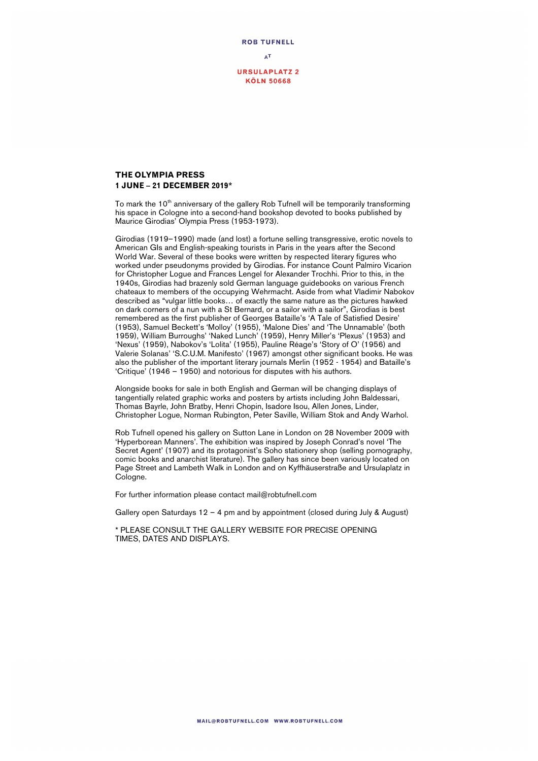

## **THE OLYMPIA PRESS 1 JUNE – 21 DECEMBER 2019\***

To mark the 10<sup>th</sup> anniversary of the gallery Rob Tufnell will be temporarily transforming his space in Cologne into a second-hand bookshop devoted to books published by Maurice Girodias' Olympia Press (1953-1973).

Girodias (1919–1990) made (and lost) a fortune selling transgressive, erotic novels to American GIs and English-speaking tourists in Paris in the years after the Second World War. Several of these books were written by respected literary figures who worked under pseudonyms provided by Girodias. For instance Count Palmiro Vicarion for Christopher Logue and Frances Lengel for Alexander Trochhi. Prior to this, in the 1940s, Girodias had brazenly sold German language guidebooks on various French chateaux to members of the occupying Wehrmacht. Aside from what Vladimir Nabokov described as "vulgar little books… of exactly the same nature as the pictures hawked on dark corners of a nun with a St Bernard, or a sailor with a sailor", Girodias is best remembered as the first publisher of Georges Bataille's 'A Tale of Satisfied Desire' (1953), Samuel Beckett's 'Molloy' (1955), 'Malone Dies' and 'The Unnamable' (both 1959), William Burroughs' 'Naked Lunch' (1959), Henry Miller's 'Plexus' (1953) and 'Nexus' (1959), Nabokov's 'Lolita' (1955), Pauline Réage's 'Story of O' (1956) and Valerie Solanas' 'S.C.U.M. Manifesto' (1967) amongst other significant books. He was also the publisher of the important literary journals Merlin (1952 - 1954) and Bataille's 'Critique' (1946 – 1950) and notorious for disputes with his authors.

Alongside books for sale in both English and German will be changing displays of tangentially related graphic works and posters by artists including John Baldessari, Thomas Bayrle, John Bratby, Henri Chopin, Isadore Isou, Allen Jones, Linder, Christopher Logue, Norman Rubington, Peter Saville, William Stok and Andy Warhol.

Rob Tufnell opened his gallery on Sutton Lane in London on 28 November 2009 with 'Hyperborean Manners'. The exhibition was inspired by Joseph Conrad's novel 'The Secret Agent' (1907) and its protagonist's Soho stationery shop (selling pornography, comic books and anarchist literature). The gallery has since been variously located on Page Street and Lambeth Walk in London and on Kyffhäuserstraße and Ursulaplatz in Cologne.

For further information please contact mail@robtufnell.com

Gallery open Saturdays  $12 - 4$  pm and by appointment (closed during July & August)

\* PLEASE CONSULT THE GALLERY WEBSITE FOR PRECISE OPENING TIMES, DATES AND DISPLAYS.